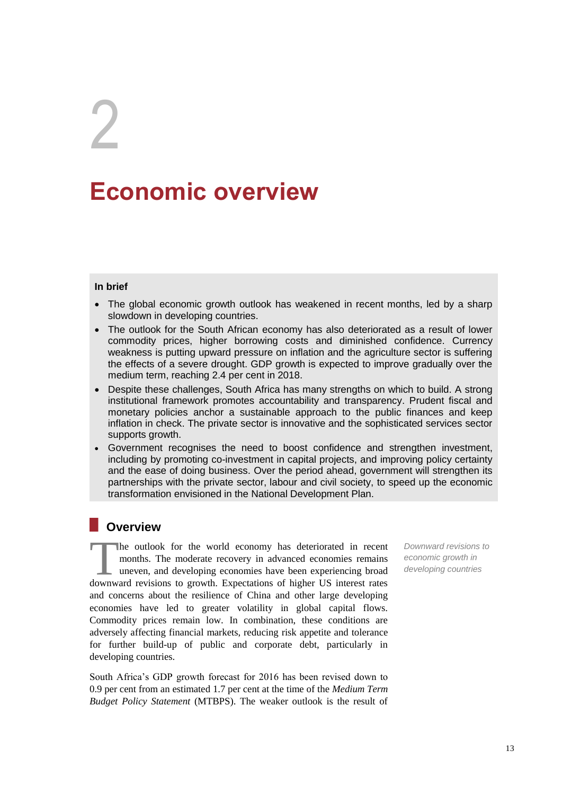# 2

## **Economic overview**

#### **In brief**

- The global economic growth outlook has weakened in recent months, led by a sharp slowdown in developing countries.
- The outlook for the South African economy has also deteriorated as a result of lower commodity prices, higher borrowing costs and diminished confidence. Currency weakness is putting upward pressure on inflation and the agriculture sector is suffering the effects of a severe drought. GDP growth is expected to improve gradually over the medium term, reaching 2.4 per cent in 2018.
- Despite these challenges, South Africa has many strengths on which to build. A strong institutional framework promotes accountability and transparency. Prudent fiscal and monetary policies anchor a sustainable approach to the public finances and keep inflation in check. The private sector is innovative and the sophisticated services sector supports growth.
- Government recognises the need to boost confidence and strengthen investment, including by promoting co-investment in capital projects, and improving policy certainty and the ease of doing business. Over the period ahead, government will strengthen its partnerships with the private sector, labour and civil society, to speed up the economic transformation envisioned in the National Development Plan.

## **Overview**

he outlook for the world economy has deteriorated in recent months. The moderate recovery in advanced economies remains uneven, and developing economies have been experiencing broad The outlook for the world economy has deteriorated in recent months. The moderate recovery in advanced economies remains uneven, and developing economies have been experiencing broad downward revisions to growth. Expectati and concerns about the resilience of China and other large developing economies have led to greater volatility in global capital flows. Commodity prices remain low. In combination, these conditions are adversely affecting financial markets, reducing risk appetite and tolerance for further build-up of public and corporate debt, particularly in developing countries.

South Africa's GDP growth forecast for 2016 has been revised down to 0.9 per cent from an estimated 1.7 per cent at the time of the *Medium Term Budget Policy Statement* (MTBPS). The weaker outlook is the result of *Downward revisions to economic growth in developing countries*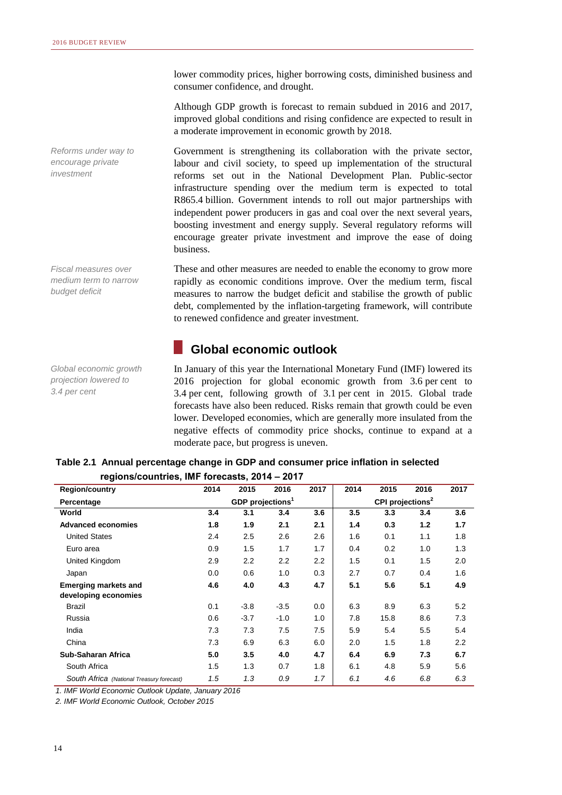*Reforms under way to encourage private investment*

*Fiscal measures over medium term to narrow budget deficit*

*Global economic growth projection lowered to 3.4 per cent*

lower commodity prices, higher borrowing costs, diminished business and consumer confidence, and drought.

Although GDP growth is forecast to remain subdued in 2016 and 2017, improved global conditions and rising confidence are expected to result in a moderate improvement in economic growth by 2018.

Government is strengthening its collaboration with the private sector, labour and civil society, to speed up implementation of the structural reforms set out in the National Development Plan. Public-sector infrastructure spending over the medium term is expected to total R865.4 billion. Government intends to roll out major partnerships with independent power producers in gas and coal over the next several years, boosting investment and energy supply. Several regulatory reforms will encourage greater private investment and improve the ease of doing business.

These and other measures are needed to enable the economy to grow more rapidly as economic conditions improve. Over the medium term, fiscal measures to narrow the budget deficit and stabilise the growth of public debt, complemented by the inflation-targeting framework, will contribute to renewed confidence and greater investment.

### **Global economic outlook**

In January of this year the International Monetary Fund (IMF) lowered its 2016 projection for global economic growth from 3.6 per cent to 3.4 per cent, following growth of 3.1 per cent in 2015. Global trade forecasts have also been reduced. Risks remain that growth could be even lower. Developed economies, which are generally more insulated from the negative effects of commodity price shocks, continue to expand at a moderate pace, but progress is uneven.

| <b>Region/country</b>                     | 2014                         | 2015   | 2016             | 2017 | 2014                         | 2015 | 2016 | 2017 |
|-------------------------------------------|------------------------------|--------|------------------|------|------------------------------|------|------|------|
| Percentage                                | GDP projections <sup>1</sup> |        |                  |      | CPI projections <sup>2</sup> |      |      |      |
| World                                     | 3.4                          | 3.1    | 3.4              | 3.6  | 3.5                          | 3.3  | 3.4  | 3.6  |
| <b>Advanced economies</b>                 | 1.8                          | 1.9    | 2.1              | 2.1  | 1.4                          | 0.3  | 1.2  | 1.7  |
| <b>United States</b>                      | 2.4                          | 2.5    | 2.6              | 2.6  | 1.6                          | 0.1  | 1.1  | 1.8  |
| Euro area                                 | 0.9                          | 1.5    | 1.7              | 1.7  | 0.4                          | 0.2  | 1.0  | 1.3  |
| United Kingdom                            | 2.9                          | 2.2    | $2.2\phantom{0}$ | 2.2  | 1.5                          | 0.1  | 1.5  | 2.0  |
| Japan                                     | 0.0                          | 0.6    | 1.0              | 0.3  | 2.7                          | 0.7  | 0.4  | 1.6  |
| <b>Emerging markets and</b>               | 4.6                          | 4.0    | 4.3              | 4.7  | 5.1                          | 5.6  | 5.1  | 4.9  |
| developing economies                      |                              |        |                  |      |                              |      |      |      |
| <b>Brazil</b>                             | 0.1                          | $-3.8$ | $-3.5$           | 0.0  | 6.3                          | 8.9  | 6.3  | 5.2  |
| Russia                                    | 0.6                          | $-3.7$ | $-1.0$           | 1.0  | 7.8                          | 15.8 | 8.6  | 7.3  |
| India                                     | 7.3                          | 7.3    | 7.5              | 7.5  | 5.9                          | 5.4  | 5.5  | 5.4  |
| China                                     | 7.3                          | 6.9    | 6.3              | 6.0  | 2.0                          | 1.5  | 1.8  | 2.2  |
| <b>Sub-Saharan Africa</b>                 | 5.0                          | 3.5    | 4.0              | 4.7  | 6.4                          | 6.9  | 7.3  | 6.7  |
| South Africa                              | 1.5                          | 1.3    | 0.7              | 1.8  | 6.1                          | 4.8  | 5.9  | 5.6  |
| South Africa (National Treasury forecast) | 1.5                          | 1.3    | 0.9              | 1.7  | 6.1                          | 4.6  | 6.8  | 6.3  |

**Table 2.1 Annual percentage change in GDP and consumer price inflation in selected regions/countries, IMF forecasts, 2014 – 2017**

*1. IMF World Economic Outlook Update, January 2016*

*2. IMF World Economic Outlook, October 2015*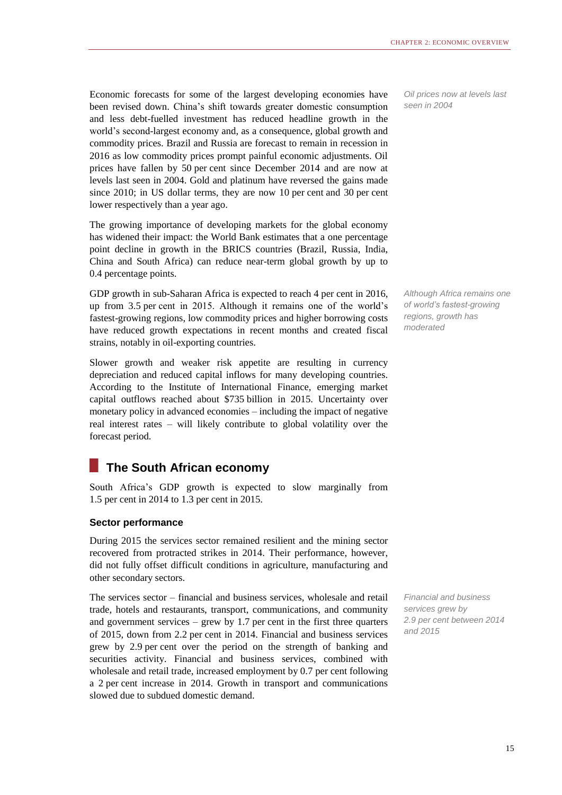Economic forecasts for some of the largest developing economies have been revised down. China's shift towards greater domestic consumption and less debt-fuelled investment has reduced headline growth in the world's second-largest economy and, as a consequence, global growth and commodity prices. Brazil and Russia are forecast to remain in recession in 2016 as low commodity prices prompt painful economic adjustments. Oil prices have fallen by 50 per cent since December 2014 and are now at levels last seen in 2004. Gold and platinum have reversed the gains made since 2010; in US dollar terms, they are now 10 per cent and 30 per cent lower respectively than a year ago.

The growing importance of developing markets for the global economy has widened their impact: the World Bank estimates that a one percentage point decline in growth in the BRICS countries (Brazil, Russia, India, China and South Africa) can reduce near-term global growth by up to 0.4 percentage points.

GDP growth in sub-Saharan Africa is expected to reach 4 per cent in 2016, up from 3.5 per cent in 2015. Although it remains one of the world's fastest-growing regions, low commodity prices and higher borrowing costs have reduced growth expectations in recent months and created fiscal strains, notably in oil-exporting countries.

Slower growth and weaker risk appetite are resulting in currency depreciation and reduced capital inflows for many developing countries. According to the Institute of International Finance, emerging market capital outflows reached about \$735 billion in 2015. Uncertainty over monetary policy in advanced economies – including the impact of negative real interest rates – will likely contribute to global volatility over the forecast period.

## **The South African economy**

South Africa's GDP growth is expected to slow marginally from 1.5 per cent in 2014 to 1.3 per cent in 2015.

#### **Sector performance**

During 2015 the services sector remained resilient and the mining sector recovered from protracted strikes in 2014. Their performance, however, did not fully offset difficult conditions in agriculture, manufacturing and other secondary sectors.

The services sector – financial and business services, wholesale and retail trade, hotels and restaurants, transport, communications, and community and government services – grew by 1.7 per cent in the first three quarters of 2015, down from 2.2 per cent in 2014. Financial and business services grew by 2.9 per cent over the period on the strength of banking and securities activity. Financial and business services, combined with wholesale and retail trade, increased employment by 0.7 per cent following a 2 per cent increase in 2014. Growth in transport and communications slowed due to subdued domestic demand.

*Oil prices now at levels last seen in 2004*

*Although Africa remains one of world's fastest-growing regions, growth has moderated* 

*Financial and business services grew by 2.9 per cent between 2014 and 2015*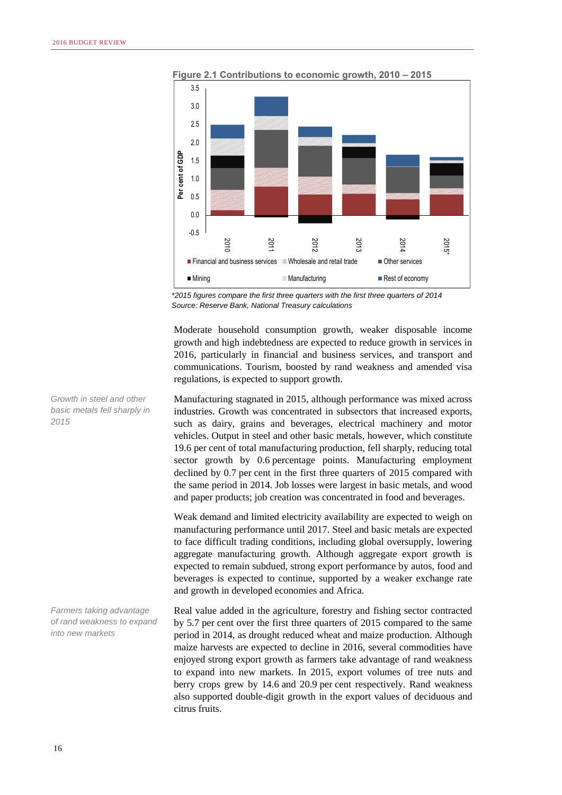

 **Figure 2.1 Contributions to economic growth, 2010 – 2015** 

 *\*2015 figures compare the first three quarters with the first three quarters of 2014 Source: Reserve Bank, National Treasury calculations* 

Moderate household consumption growth, weaker disposable income growth and high indebtedness are expected to reduce growth in services in 2016, particularly in financial and business services, and transport and communications. Tourism, boosted by rand weakness and amended visa regulations, is expected to support growth.

Manufacturing stagnated in 2015, although performance was mixed across industries. Growth was concentrated in subsectors that increased exports, such as dairy, grains and beverages, electrical machinery and motor vehicles. Output in steel and other basic metals, however, which constitute 19.6 per cent of total manufacturing production, fell sharply, reducing total sector growth by 0.6 percentage points. Manufacturing employment declined by 0.7 per cent in the first three quarters of 2015 compared with the same period in 2014. Job losses were largest in basic metals, and wood and paper products; job creation was concentrated in food and beverages.

Weak demand and limited electricity availability are expected to weigh on manufacturing performance until 2017. Steel and basic metals are expected to face difficult trading conditions, including global oversupply, lowering aggregate manufacturing growth. Although aggregate export growth is expected to remain subdued, strong export performance by autos, food and beverages is expected to continue, supported by a weaker exchange rate and growth in developed economies and Africa.

Real value added in the agriculture, forestry and fishing sector contracted by 5.7 per cent over the first three quarters of 2015 compared to the same period in 2014, as drought reduced wheat and maize production. Although maize harvests are expected to decline in 2016, several commodities have enjoyed strong export growth as farmers take advantage of rand weakness to expand into new markets. In 2015, export volumes of tree nuts and berry crops grew by 14.6 and 20.9 per cent respectively. Rand weakness also supported double-digit growth in the export values of deciduous and citrus fruits.

*Growth in steel and other basic metals fell sharply in 2015*

*Farmers taking advantage of rand weakness to expand into new markets*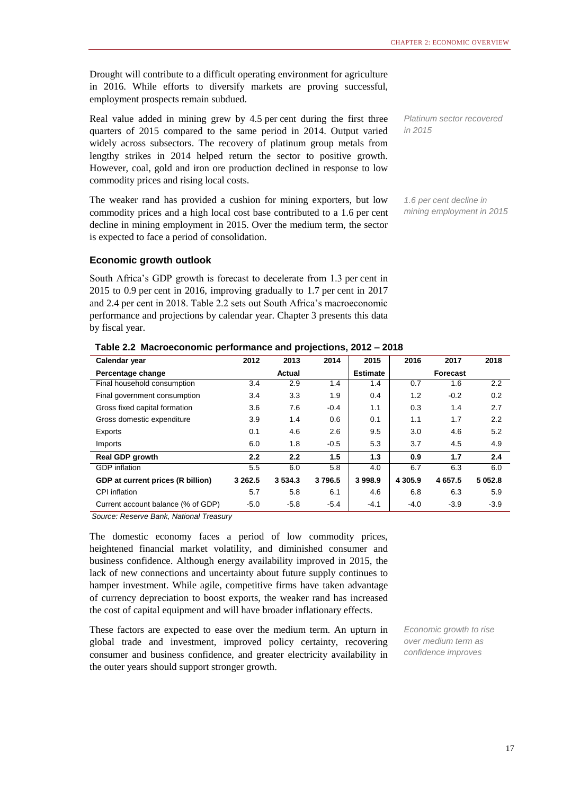Drought will contribute to a difficult operating environment for agriculture in 2016. While efforts to diversify markets are proving successful, employment prospects remain subdued.

Real value added in mining grew by 4.5 per cent during the first three quarters of 2015 compared to the same period in 2014. Output varied widely across subsectors. The recovery of platinum group metals from lengthy strikes in 2014 helped return the sector to positive growth. However, coal, gold and iron ore production declined in response to low commodity prices and rising local costs.

The weaker rand has provided a cushion for mining exporters, but low commodity prices and a high local cost base contributed to a 1.6 per cent decline in mining employment in 2015. Over the medium term, the sector is expected to face a period of consolidation.

#### **Economic growth outlook**

South Africa's GDP growth is forecast to decelerate from 1.3 per cent in 2015 to 0.9 per cent in 2016, improving gradually to 1.7 per cent in 2017 and 2.4 per cent in 2018. Table 2.2 sets out South Africa's macroeconomic performance and projections by calendar year. Chapter 3 presents this data by fiscal year.

|         | Platinum sector recovered |
|---------|---------------------------|
| in 2015 |                           |

*1.6 per cent decline in mining employment in 2015*

| Calendar year                      | 2012    | 2013        | 2014   | 2015            | 2016      | 2017            | 2018      |
|------------------------------------|---------|-------------|--------|-----------------|-----------|-----------------|-----------|
| Percentage change                  |         | Actual      |        | <b>Estimate</b> |           | <b>Forecast</b> |           |
| Final household consumption        | 3.4     | 2.9         | 1.4    | 1.4             | 0.7       | 1.6             | 2.2       |
| Final government consumption       | 3.4     | 3.3         | 1.9    | 0.4             | 1.2       | $-0.2$          | 0.2       |
| Gross fixed capital formation      | 3.6     | 7.6         | $-0.4$ | 1.1             | 0.3       | 1.4             | 2.7       |
| Gross domestic expenditure         | 3.9     | 1.4         | 0.6    | 0.1             | 1.1       | 1.7             | 2.2       |
| Exports                            | 0.1     | 4.6         | 2.6    | 9.5             | 3.0       | 4.6             | 5.2       |
| Imports                            | 6.0     | 1.8         | $-0.5$ | 5.3             | 3.7       | 4.5             | 4.9       |
| Real GDP growth                    | 2.2     | 2.2         | 1.5    | 1.3             | 0.9       | 1.7             | 2.4       |
| GDP inflation                      | 5.5     | 6.0         | 5.8    | 4.0             | 6.7       | 6.3             | 6.0       |
| GDP at current prices (R billion)  | 3 262.5 | 3 5 3 4 . 3 | 3796.5 | 3998.9          | 4 3 0 5.9 | 4 657.5         | 5 0 5 2.8 |
| CPI inflation                      | 5.7     | 5.8         | 6.1    | 4.6             | 6.8       | 6.3             | 5.9       |
| Current account balance (% of GDP) | $-5.0$  | $-5.8$      | $-5.4$ | $-4.1$          | $-4.0$    | $-3.9$          | $-3.9$    |

**Table 2.2 Macroeconomic performance and projections, 2012 – 2018**

*Source: Reserve Bank, National Treasury*

The domestic economy faces a period of low commodity prices, heightened financial market volatility, and diminished consumer and business confidence. Although energy availability improved in 2015, the lack of new connections and uncertainty about future supply continues to hamper investment. While agile, competitive firms have taken advantage of currency depreciation to boost exports, the weaker rand has increased the cost of capital equipment and will have broader inflationary effects.

These factors are expected to ease over the medium term. An upturn in global trade and investment, improved policy certainty, recovering consumer and business confidence, and greater electricity availability in the outer years should support stronger growth.

*Economic growth to rise over medium term as confidence improves*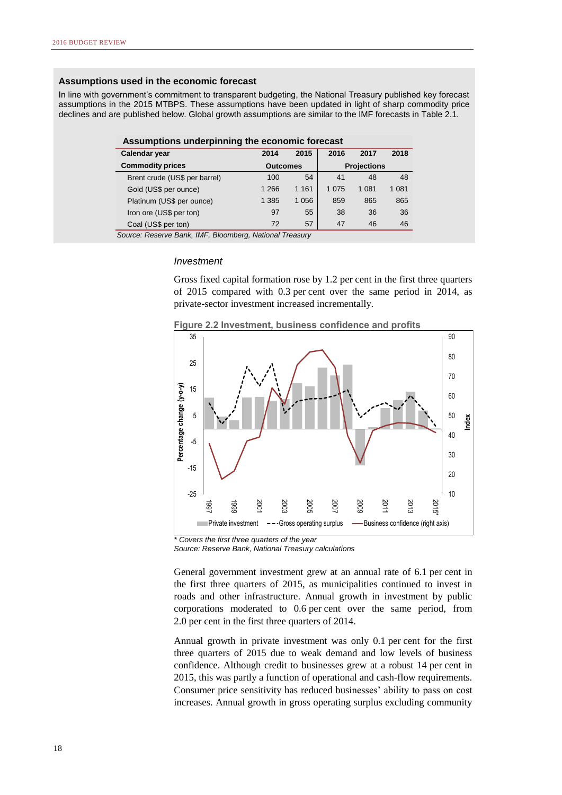#### **Assumptions used in the economic forecast**

In line with government's commitment to transparent budgeting, the National Treasury published key forecast assumptions in the 2015 MTBPS. These assumptions have been updated in light of sharp commodity price declines and are published below. Global growth assumptions are similar to the IMF forecasts in Table 2.1.

| Assumptions underpinning the economic forecast |                 |         |         |                    |         |
|------------------------------------------------|-----------------|---------|---------|--------------------|---------|
| Calendar year                                  | 2014            | 2015    | 2016    | 2017               | 2018    |
| <b>Commodity prices</b>                        | <b>Outcomes</b> |         |         | <b>Projections</b> |         |
| Brent crude (US\$ per barrel)                  | 100             | 54      | 41      | 48                 | 48      |
| Gold (US\$ per ounce)                          | 1 2 6 6         | 1 1 6 1 | 1 0 7 5 | 1 0 8 1            | 1 0 8 1 |
| Platinum (US\$ per ounce)                      | 1 385           | 1 0 5 6 | 859     | 865                | 865     |
| Iron ore (US\$ per ton)                        | 97              | 55      | 38      | 36                 | 36      |
| Coal (US\$ per ton)                            | 72              | 57      | 47      | 46                 | 46      |
|                                                |                 |         |         |                    |         |

*Source: Reserve Bank, IMF, Bloomberg, National Treasury*

#### *Investment*

Gross fixed capital formation rose by 1.2 per cent in the first three quarters of 2015 compared with 0.3 per cent over the same period in 2014, as private-sector investment increased incrementally.



*\* Covers the first three quarters of the year*

*Source: Reserve Bank, National Treasury calculations*

General government investment grew at an annual rate of 6.1 per cent in the first three quarters of 2015, as municipalities continued to invest in roads and other infrastructure. Annual growth in investment by public corporations moderated to 0.6 per cent over the same period, from 2.0 per cent in the first three quarters of 2014.

Annual growth in private investment was only 0.1 per cent for the first three quarters of 2015 due to weak demand and low levels of business confidence. Although credit to businesses grew at a robust 14 per cent in 2015, this was partly a function of operational and cash-flow requirements. Consumer price sensitivity has reduced businesses' ability to pass on cost increases. Annual growth in gross operating surplus excluding community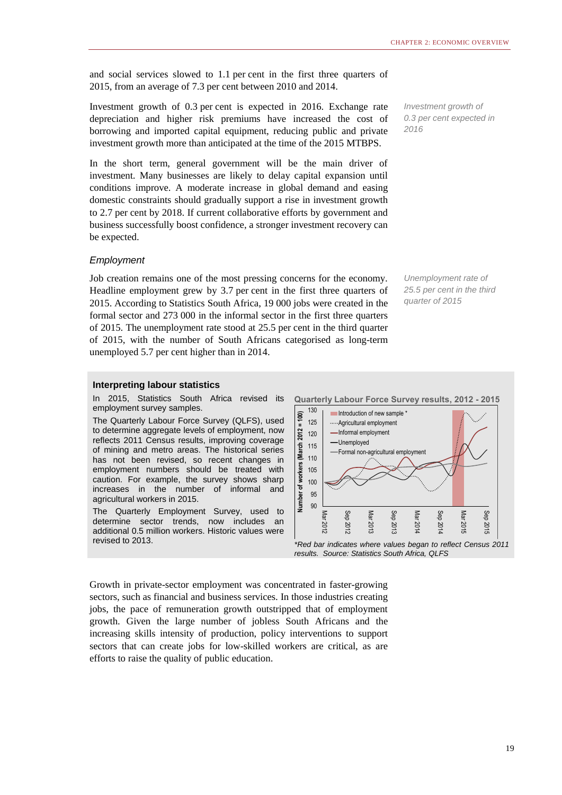and social services slowed to 1.1 per cent in the first three quarters of 2015, from an average of 7.3 per cent between 2010 and 2014.

Investment growth of 0.3 per cent is expected in 2016. Exchange rate depreciation and higher risk premiums have increased the cost of borrowing and imported capital equipment, reducing public and private investment growth more than anticipated at the time of the 2015 MTBPS.

In the short term, general government will be the main driver of investment. Many businesses are likely to delay capital expansion until conditions improve. A moderate increase in global demand and easing domestic constraints should gradually support a rise in investment growth to 2.7 per cent by 2018. If current collaborative efforts by government and business successfully boost confidence, a stronger investment recovery can be expected.

#### *Employment*

Job creation remains one of the most pressing concerns for the economy. Headline employment grew by 3.7 per cent in the first three quarters of 2015. According to Statistics South Africa, 19 000 jobs were created in the formal sector and 273 000 in the informal sector in the first three quarters of 2015. The unemployment rate stood at 25.5 per cent in the third quarter of 2015, with the number of South Africans categorised as long-term unemployed 5.7 per cent higher than in 2014.

*Investment growth of 0.3 per cent expected in 2016*

*Unemployment rate of 25.5 per cent in the third quarter of 2015*

#### **Interpreting labour statistics**

In 2015, Statistics South Africa revised its employment survey samples.

The Quarterly Labour Force Survey (QLFS), used to determine aggregate levels of employment, now reflects 2011 Census results, improving coverage of mining and metro areas. The historical series has not been revised, so recent changes in employment numbers should be treated with caution. For example, the survey shows sharp increases in the number of informal and agricultural workers in 2015.

The Quarterly Employment Survey, used to determine sector trends, now includes an additional 0.5 million workers. Historic values were revised to 2013.





Growth in private-sector employment was concentrated in faster-growing sectors, such as financial and business services. In those industries creating jobs, the pace of remuneration growth outstripped that of employment growth. Given the large number of jobless South Africans and the increasing skills intensity of production, policy interventions to support sectors that can create jobs for low-skilled workers are critical, as are efforts to raise the quality of public education.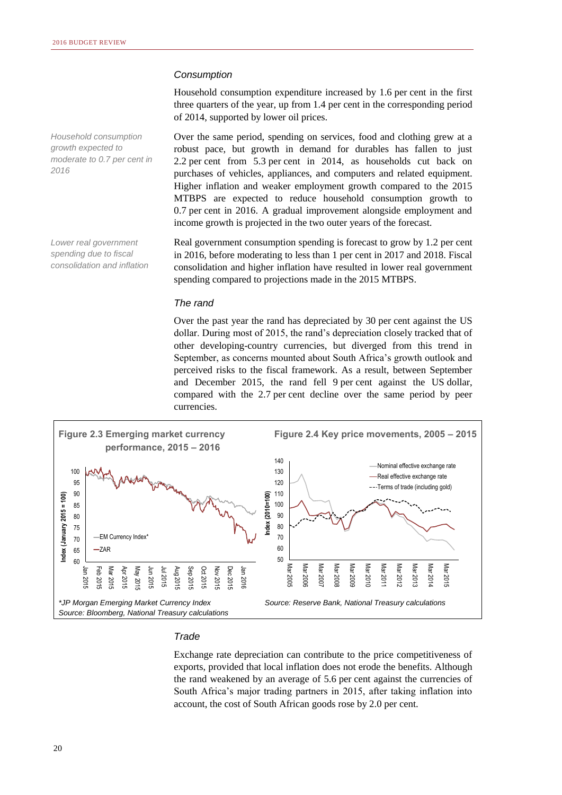#### *Household consumption growth expected to moderate to 0.7 per cent in 2016*

*Lower real government spending due to fiscal consolidation and inflation*

#### *Consumption*

Household consumption expenditure increased by 1.6 per cent in the first three quarters of the year, up from 1.4 per cent in the corresponding period of 2014, supported by lower oil prices.

Over the same period, spending on services, food and clothing grew at a robust pace, but growth in demand for durables has fallen to just 2.2 per cent from 5.3 per cent in 2014, as households cut back on purchases of vehicles, appliances, and computers and related equipment. Higher inflation and weaker employment growth compared to the 2015 MTBPS are expected to reduce household consumption growth to 0.7 per cent in 2016. A gradual improvement alongside employment and income growth is projected in the two outer years of the forecast.

Real government consumption spending is forecast to grow by 1.2 per cent in 2016, before moderating to less than 1 per cent in 2017 and 2018. Fiscal consolidation and higher inflation have resulted in lower real government spending compared to projections made in the 2015 MTBPS.

#### *The rand*

Over the past year the rand has depreciated by 30 per cent against the US dollar. During most of 2015, the rand's depreciation closely tracked that of other developing-country currencies, but diverged from this trend in September, as concerns mounted about South Africa's growth outlook and perceived risks to the fiscal framework. As a result, between September and December 2015, the rand fell 9 per cent against the US dollar, compared with the 2.7 per cent decline over the same period by peer currencies.



#### *Trade*

Exchange rate depreciation can contribute to the price competitiveness of exports, provided that local inflation does not erode the benefits. Although the rand weakened by an average of 5.6 per cent against the currencies of South Africa's major trading partners in 2015, after taking inflation into account, the cost of South African goods rose by 2.0 per cent.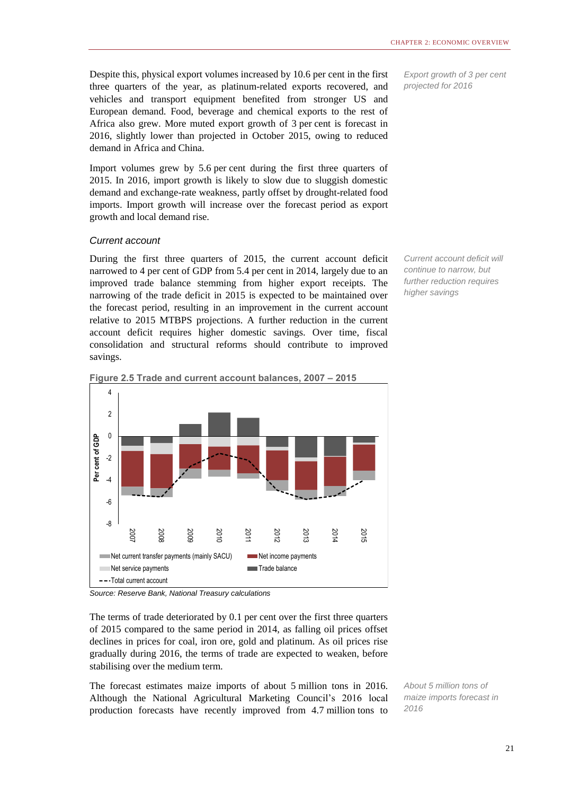*Export growth of 3 per cent* 

*projected for 2016*

Despite this, physical export volumes increased by 10.6 per cent in the first three quarters of the year, as platinum-related exports recovered, and vehicles and transport equipment benefited from stronger US and European demand. Food, beverage and chemical exports to the rest of Africa also grew. More muted export growth of 3 per cent is forecast in 2016, slightly lower than projected in October 2015, owing to reduced demand in Africa and China.

Import volumes grew by 5.6 per cent during the first three quarters of 2015. In 2016, import growth is likely to slow due to sluggish domestic demand and exchange-rate weakness, partly offset by drought-related food imports. Import growth will increase over the forecast period as export growth and local demand rise.

#### *Current account*

During the first three quarters of 2015, the current account deficit narrowed to 4 per cent of GDP from 5.4 per cent in 2014, largely due to an improved trade balance stemming from higher export receipts. The narrowing of the trade deficit in 2015 is expected to be maintained over the forecast period, resulting in an improvement in the current account relative to 2015 MTBPS projections. A further reduction in the current account deficit requires higher domestic savings. Over time, fiscal consolidation and structural reforms should contribute to improved savings.

*Current account deficit will continue to narrow, but further reduction requires higher savings*



**Figure 2.5 Trade and current account balances, 2007 – 2015** 

*Source: Reserve Bank, National Treasury calculations*

The terms of trade deteriorated by 0.1 per cent over the first three quarters of 2015 compared to the same period in 2014, as falling oil prices offset declines in prices for coal, iron ore, gold and platinum. As oil prices rise gradually during 2016, the terms of trade are expected to weaken, before stabilising over the medium term.

The forecast estimates maize imports of about 5 million tons in 2016. Although the National Agricultural Marketing Council's 2016 local production forecasts have recently improved from 4.7 million tons to *About 5 million tons of maize imports forecast in 2016*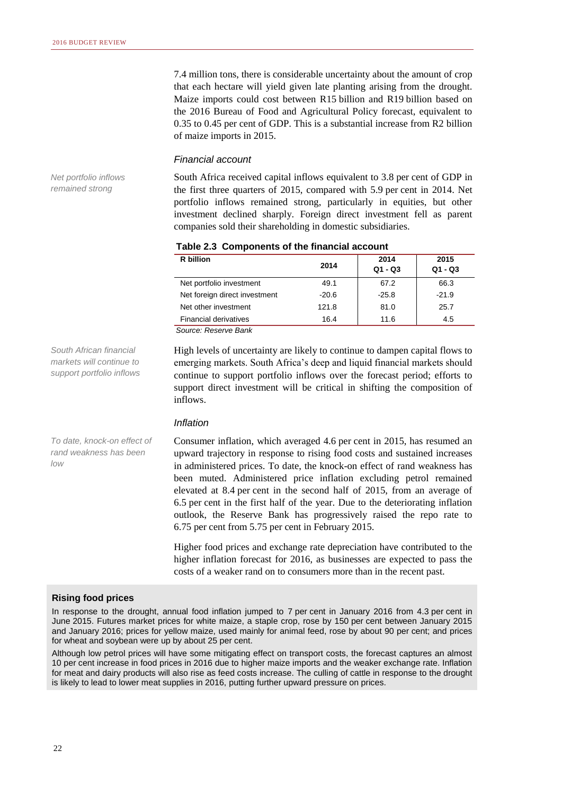*Net portfolio inflows remained strong*

7.4 million tons, there is considerable uncertainty about the amount of crop that each hectare will yield given late planting arising from the drought. Maize imports could cost between R15 billion and R19 billion based on the 2016 Bureau of Food and Agricultural Policy forecast, equivalent to 0.35 to 0.45 per cent of GDP. This is a substantial increase from R2 billion of maize imports in 2015.

#### *Financial account*

South Africa received capital inflows equivalent to 3.8 per cent of GDP in the first three quarters of 2015, compared with 5.9 per cent in 2014. Net portfolio inflows remained strong, particularly in equities, but other investment declined sharply. Foreign direct investment fell as parent companies sold their shareholding in domestic subsidiaries.

| <b>R</b> billion              | 2014    | 2014<br>$Q1 - Q3$ | 2015<br>$Q1 - Q3$ |
|-------------------------------|---------|-------------------|-------------------|
| Net portfolio investment      | 49.1    | 67.2              | 66.3              |
| Net foreign direct investment | $-20.6$ | $-25.8$           | $-21.9$           |
| Net other investment          | 121.8   | 81.0              | 25.7              |
| <b>Financial derivatives</b>  | 16.4    | 11.6              | 4.5               |

#### **Table 2.3 Components of the financial account**

*Source: Reserve Bank*

*South African financial markets will continue to support portfolio inflows* High levels of uncertainty are likely to continue to dampen capital flows to emerging markets. South Africa's deep and liquid financial markets should continue to support portfolio inflows over the forecast period; efforts to support direct investment will be critical in shifting the composition of inflows.

#### *Inflation*

Consumer inflation, which averaged 4.6 per cent in 2015, has resumed an upward trajectory in response to rising food costs and sustained increases in administered prices. To date, the knock-on effect of rand weakness has been muted. Administered price inflation excluding petrol remained elevated at 8.4 per cent in the second half of 2015, from an average of 6.5 per cent in the first half of the year. Due to the deteriorating inflation outlook, the Reserve Bank has progressively raised the repo rate to 6.75 per cent from 5.75 per cent in February 2015.

Higher food prices and exchange rate depreciation have contributed to the higher inflation forecast for 2016, as businesses are expected to pass the costs of a weaker rand on to consumers more than in the recent past.

#### **Rising food prices**

In response to the drought, annual food inflation jumped to 7 per cent in January 2016 from 4.3 per cent in June 2015. Futures market prices for white maize, a staple crop, rose by 150 per cent between January 2015 and January 2016; prices for yellow maize, used mainly for animal feed, rose by about 90 per cent; and prices for wheat and soybean were up by about 25 per cent.

Although low petrol prices will have some mitigating effect on transport costs, the forecast captures an almost 10 per cent increase in food prices in 2016 due to higher maize imports and the weaker exchange rate. Inflation for meat and dairy products will also rise as feed costs increase. The culling of cattle in response to the drought is likely to lead to lower meat supplies in 2016, putting further upward pressure on prices.

*To date, knock-on effect of rand weakness has been low*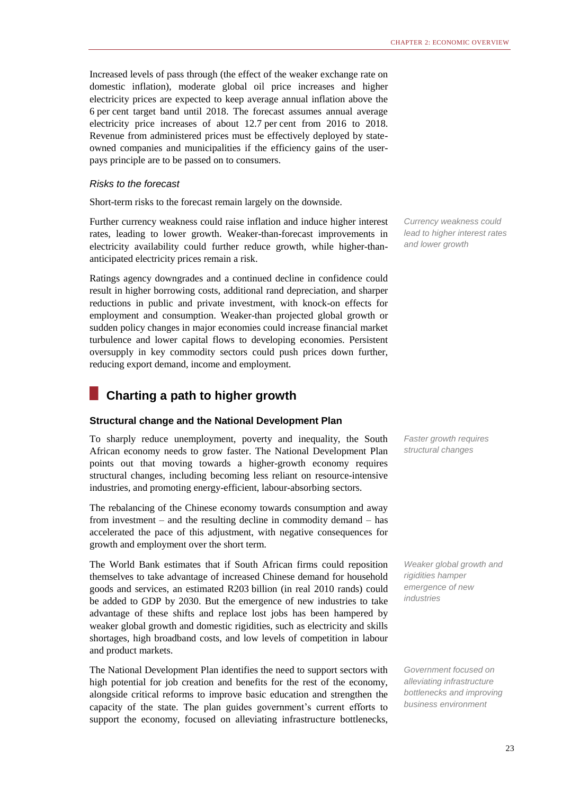Increased levels of pass through (the effect of the weaker exchange rate on domestic inflation), moderate global oil price increases and higher electricity prices are expected to keep average annual inflation above the 6 per cent target band until 2018. The forecast assumes annual average electricity price increases of about 12.7 per cent from 2016 to 2018. Revenue from administered prices must be effectively deployed by stateowned companies and municipalities if the efficiency gains of the userpays principle are to be passed on to consumers.

#### *Risks to the forecast*

Short-term risks to the forecast remain largely on the downside.

Further currency weakness could raise inflation and induce higher interest rates, leading to lower growth. Weaker-than-forecast improvements in electricity availability could further reduce growth, while higher-thananticipated electricity prices remain a risk.

Ratings agency downgrades and a continued decline in confidence could result in higher borrowing costs, additional rand depreciation, and sharper reductions in public and private investment, with knock-on effects for employment and consumption. Weaker-than projected global growth or sudden policy changes in major economies could increase financial market turbulence and lower capital flows to developing economies. Persistent oversupply in key commodity sectors could push prices down further, reducing export demand, income and employment.

## **Charting a path to higher growth**

#### **Structural change and the National Development Plan**

To sharply reduce unemployment, poverty and inequality, the South African economy needs to grow faster. The National Development Plan points out that moving towards a higher-growth economy requires structural changes, including becoming less reliant on resource-intensive industries, and promoting energy-efficient, labour-absorbing sectors.

The rebalancing of the Chinese economy towards consumption and away from investment – and the resulting decline in commodity demand – has accelerated the pace of this adjustment, with negative consequences for growth and employment over the short term.

The World Bank estimates that if South African firms could reposition themselves to take advantage of increased Chinese demand for household goods and services, an estimated R203 billion (in real 2010 rands) could be added to GDP by 2030. But the emergence of new industries to take advantage of these shifts and replace lost jobs has been hampered by weaker global growth and domestic rigidities, such as electricity and skills shortages, high broadband costs, and low levels of competition in labour and product markets.

The National Development Plan identifies the need to support sectors with high potential for job creation and benefits for the rest of the economy, alongside critical reforms to improve basic education and strengthen the capacity of the state. The plan guides government's current efforts to support the economy, focused on alleviating infrastructure bottlenecks,

*Currency weakness could lead to higher interest rates and lower growth*

*Faster growth requires structural changes*

*Weaker global growth and rigidities hamper emergence of new industries* 

*Government focused on alleviating infrastructure bottlenecks and improving business environment*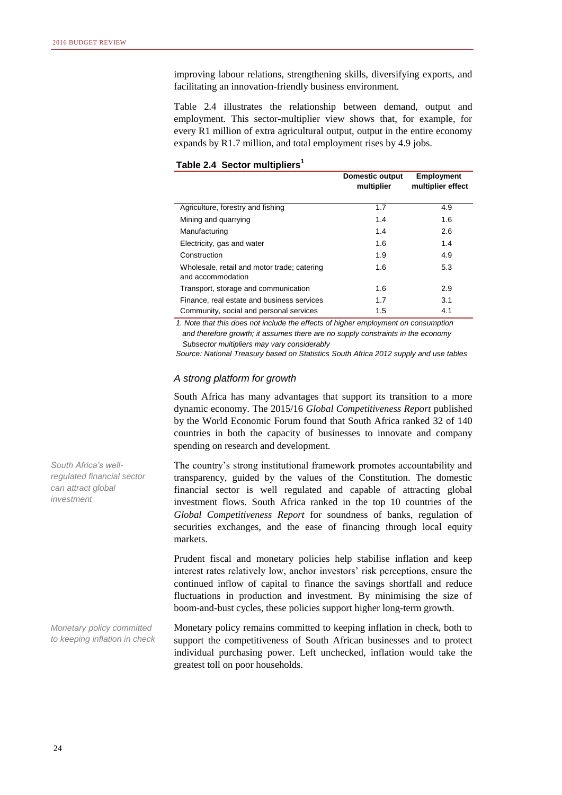improving labour relations, strengthening skills, diversifying exports, and facilitating an innovation-friendly business environment.

Table 2.4 illustrates the relationship between demand, output and employment. This sector-multiplier view shows that, for example, for every R1 million of extra agricultural output, output in the entire economy expands by R1.7 million, and total employment rises by 4.9 jobs.

|                                                                  | <b>Domestic output</b><br>multiplier | <b>Employment</b><br>multiplier effect |
|------------------------------------------------------------------|--------------------------------------|----------------------------------------|
| Agriculture, forestry and fishing                                | 1.7                                  | 4.9                                    |
| Mining and quarrying                                             | 1.4                                  | 1.6                                    |
| Manufacturing                                                    | 1.4                                  | 2.6                                    |
| Electricity, gas and water                                       | 1.6                                  | 1.4                                    |
| Construction                                                     | 1.9                                  | 4.9                                    |
| Wholesale, retail and motor trade; catering<br>and accommodation | 1.6                                  | 5.3                                    |
| Transport, storage and communication                             | 1.6                                  | 2.9                                    |
| Finance, real estate and business services                       | 1.7                                  | 3.1                                    |
| Community, social and personal services                          | 1.5                                  | 4.1                                    |

#### **Table 2.4 Sector multipliers<sup>1</sup>**

*1. Note that this does not include the effects of higher employment on consumption and therefore growth; it assumes there are no supply constraints in the economy Subsector multipliers may vary considerably*

*Source: National Treasury based on Statistics South Africa 2012 supply and use tables*

#### *A strong platform for growth*

South Africa has many advantages that support its transition to a more dynamic economy. The 2015/16 *Global Competitiveness Report* published by the World Economic Forum found that South Africa ranked 32 of 140 countries in both the capacity of businesses to innovate and company spending on research and development.

The country's strong institutional framework promotes accountability and transparency, guided by the values of the Constitution. The domestic financial sector is well regulated and capable of attracting global investment flows. South Africa ranked in the top 10 countries of the *Global Competitiveness Report* for soundness of banks, regulation of securities exchanges, and the ease of financing through local equity markets.

Prudent fiscal and monetary policies help stabilise inflation and keep interest rates relatively low, anchor investors' risk perceptions, ensure the continued inflow of capital to finance the savings shortfall and reduce fluctuations in production and investment. By minimising the size of boom-and-bust cycles, these policies support higher long-term growth.

Monetary policy remains committed to keeping inflation in check, both to support the competitiveness of South African businesses and to protect individual purchasing power. Left unchecked, inflation would take the greatest toll on poor households.

*South Africa's wellregulated financial sector can attract global investment* 

*Monetary policy committed to keeping inflation in check*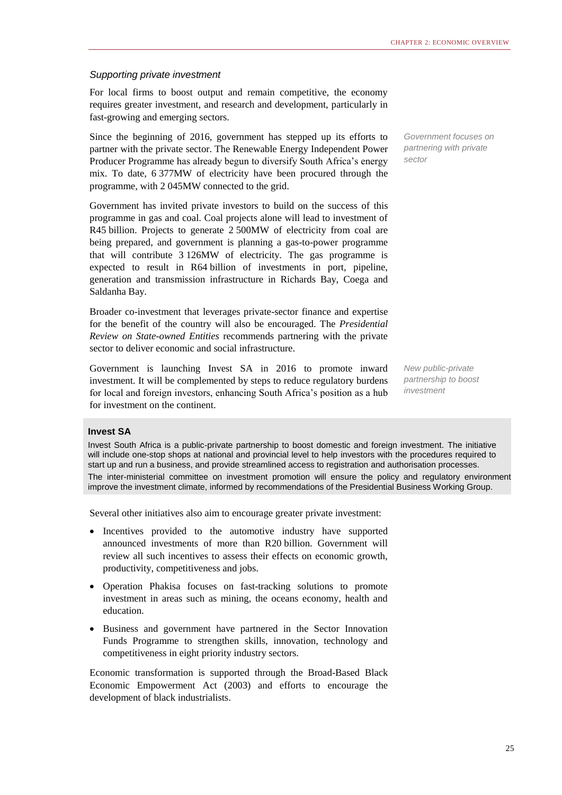#### *Supporting private investment*

For local firms to boost output and remain competitive, the economy requires greater investment, and research and development, particularly in fast-growing and emerging sectors.

Since the beginning of 2016, government has stepped up its efforts to partner with the private sector. The Renewable Energy Independent Power Producer Programme has already begun to diversify South Africa's energy mix. To date, 6 377MW of electricity have been procured through the programme, with 2 045MW connected to the grid.

Government has invited private investors to build on the success of this programme in gas and coal. Coal projects alone will lead to investment of R45 billion. Projects to generate 2 500MW of electricity from coal are being prepared, and government is planning a gas-to-power programme that will contribute 3 126MW of electricity. The gas programme is expected to result in R64 billion of investments in port, pipeline, generation and transmission infrastructure in Richards Bay, Coega and Saldanha Bay.

Broader co-investment that leverages private-sector finance and expertise for the benefit of the country will also be encouraged. The *Presidential Review on State-owned Entities* recommends partnering with the private sector to deliver economic and social infrastructure.

Government is launching Invest SA in 2016 to promote inward investment. It will be complemented by steps to reduce regulatory burdens for local and foreign investors, enhancing South Africa's position as a hub for investment on the continent.

*Government focuses on partnering with private sector*

*New public-private partnership to boost investment*

#### **Invest SA**

Invest South Africa is a public-private partnership to boost domestic and foreign investment. The initiative will include one-stop shops at national and provincial level to help investors with the procedures required to start up and run a business, and provide streamlined access to registration and authorisation processes. The inter-ministerial committee on investment promotion will ensure the policy and regulatory environment improve the investment climate, informed by recommendations of the Presidential Business Working Group.

Several other initiatives also aim to encourage greater private investment:

- Incentives provided to the automotive industry have supported announced investments of more than R20 billion. Government will review all such incentives to assess their effects on economic growth, productivity, competitiveness and jobs.
- Operation Phakisa focuses on fast-tracking solutions to promote investment in areas such as mining, the oceans economy, health and education.
- Business and government have partnered in the Sector Innovation Funds Programme to strengthen skills, innovation, technology and competitiveness in eight priority industry sectors.

Economic transformation is supported through the Broad-Based Black Economic Empowerment Act (2003) and efforts to encourage the development of black industrialists.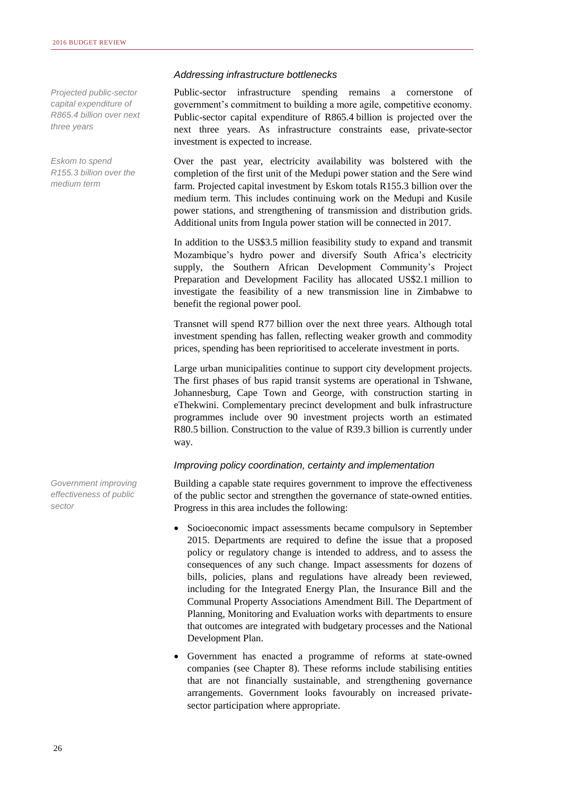*Projected public-sector capital expenditure of R865.4 billion over next three years*

*Eskom to spend R155.3 billion over the medium term*

#### *Addressing infrastructure bottlenecks*

Public-sector infrastructure spending remains a cornerstone of government's commitment to building a more agile, competitive economy. Public-sector capital expenditure of R865.4 billion is projected over the next three years. As infrastructure constraints ease, private-sector investment is expected to increase.

Over the past year, electricity availability was bolstered with the completion of the first unit of the Medupi power station and the Sere wind farm. Projected capital investment by Eskom totals R155.3 billion over the medium term. This includes continuing work on the Medupi and Kusile power stations, and strengthening of transmission and distribution grids. Additional units from Ingula power station will be connected in 2017.

In addition to the US\$3.5 million feasibility study to expand and transmit Mozambique's hydro power and diversify South Africa's electricity supply, the Southern African Development Community's Project Preparation and Development Facility has allocated US\$2.1 million to investigate the feasibility of a new transmission line in Zimbabwe to benefit the regional power pool.

Transnet will spend R77 billion over the next three years. Although total investment spending has fallen, reflecting weaker growth and commodity prices, spending has been reprioritised to accelerate investment in ports.

Large urban municipalities continue to support city development projects. The first phases of bus rapid transit systems are operational in Tshwane, Johannesburg, Cape Town and George, with construction starting in eThekwini. Complementary precinct development and bulk infrastructure programmes include over 90 investment projects worth an estimated R80.5 billion. Construction to the value of R39.3 billion is currently under way.

#### *Improving policy coordination, certainty and implementation*

Building a capable state requires government to improve the effectiveness of the public sector and strengthen the governance of state-owned entities. Progress in this area includes the following:

- Socioeconomic impact assessments became compulsory in September 2015. Departments are required to define the issue that a proposed policy or regulatory change is intended to address, and to assess the consequences of any such change. Impact assessments for dozens of bills, policies, plans and regulations have already been reviewed, including for the Integrated Energy Plan, the Insurance Bill and the Communal Property Associations Amendment Bill. The Department of Planning, Monitoring and Evaluation works with departments to ensure that outcomes are integrated with budgetary processes and the National Development Plan.
- Government has enacted a programme of reforms at state-owned companies (see Chapter 8). These reforms include stabilising entities that are not financially sustainable, and strengthening governance arrangements. Government looks favourably on increased privatesector participation where appropriate.

*Government improving effectiveness of public sector*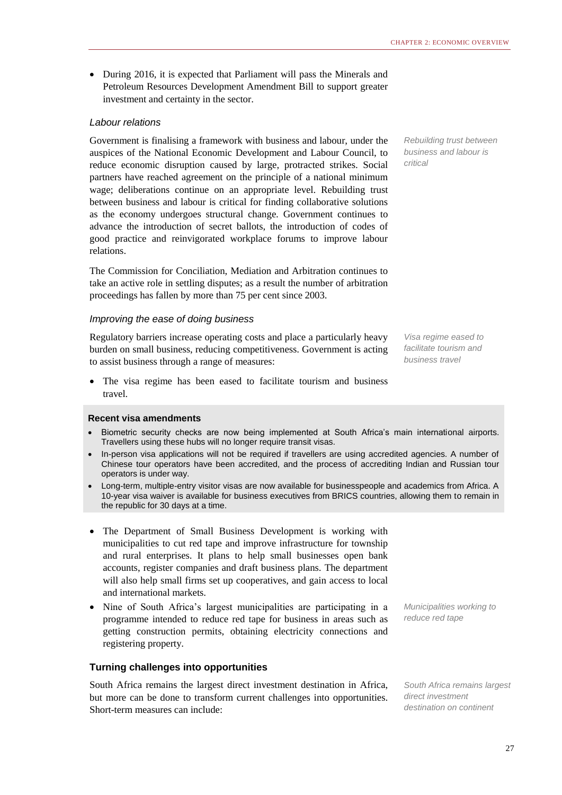During 2016, it is expected that Parliament will pass the Minerals and Petroleum Resources Development Amendment Bill to support greater investment and certainty in the sector.

#### *Labour relations*

Government is finalising a framework with business and labour, under the auspices of the National Economic Development and Labour Council, to reduce economic disruption caused by large, protracted strikes. Social partners have reached agreement on the principle of a national minimum wage; deliberations continue on an appropriate level. Rebuilding trust between business and labour is critical for finding collaborative solutions as the economy undergoes structural change. Government continues to advance the introduction of secret ballots, the introduction of codes of good practice and reinvigorated workplace forums to improve labour relations.

The Commission for Conciliation, Mediation and Arbitration continues to take an active role in settling disputes; as a result the number of arbitration proceedings has fallen by more than 75 per cent since 2003.

#### *Improving the ease of doing business*

Regulatory barriers increase operating costs and place a particularly heavy burden on small business, reducing competitiveness. Government is acting to assist business through a range of measures:

• The visa regime has been eased to facilitate tourism and business travel.

#### **Recent visa amendments**

- Biometric security checks are now being implemented at South Africa's main international airports. Travellers using these hubs will no longer require transit visas.
- In-person visa applications will not be required if travellers are using accredited agencies. A number of Chinese tour operators have been accredited, and the process of accrediting Indian and Russian tour operators is under way.
- Long-term, multiple-entry visitor visas are now available for businesspeople and academics from Africa. A 10-year visa waiver is available for business executives from BRICS countries, allowing them to remain in the republic for 30 days at a time.
- The Department of Small Business Development is working with municipalities to cut red tape and improve infrastructure for township and rural enterprises. It plans to help small businesses open bank accounts, register companies and draft business plans. The department will also help small firms set up cooperatives, and gain access to local and international markets.
- Nine of South Africa's largest municipalities are participating in a programme intended to reduce red tape for business in areas such as getting construction permits, obtaining electricity connections and registering property.

#### **Turning challenges into opportunities**

South Africa remains the largest direct investment destination in Africa, but more can be done to transform current challenges into opportunities. Short-term measures can include:

*Rebuilding trust between business and labour is critical*

*Visa regime eased to facilitate tourism and business travel*

*Municipalities working to reduce red tape*

*South Africa remains largest direct investment destination on continent*